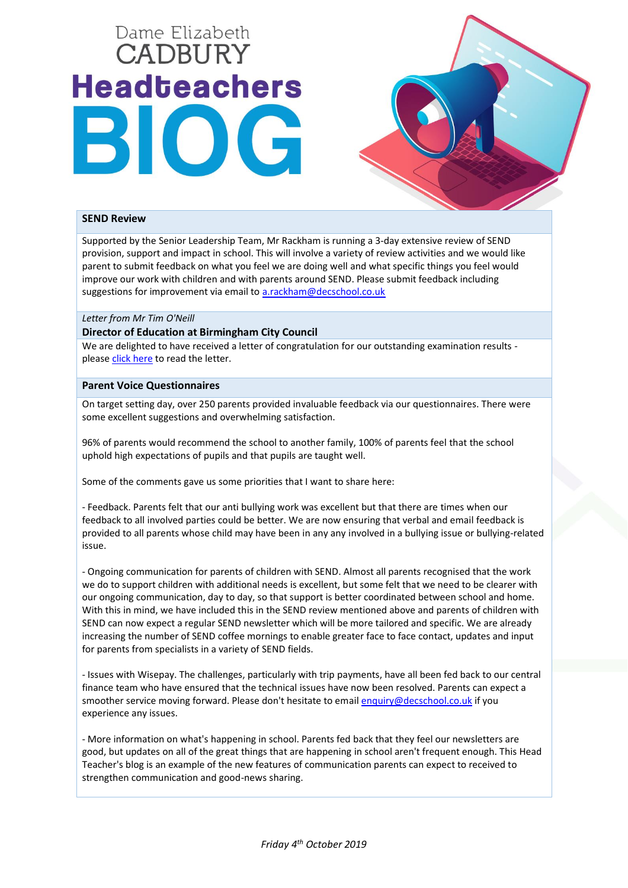# Dame Elizabeth **CADBURY Headteachers** BIOG



## **SEND Review**

Supported by the Senior Leadership Team, Mr Rackham is running a 3-day extensive review of SEND provision, support and impact in school. This will involve a variety of review activities and we would like parent to submit feedback on what you feel we are doing well and what specific things you feel would improve our work with children and with parents around SEND. Please submit feedback including suggestions for improvement via email to [a.rackham@decschool.co.uk](mailto:a.rackham@decschool.co.uk)

#### *Letter from Mr Tim O'Neill*

## **Director of Education at Birmingham City Council**

We are delighted to have received a letter of congratulation for our outstanding examination results please [click here](https://www.decschool.co.uk/wp-content/uploads/2019/10/BCC-GCSE-Outcomes.pdf) to read the letter.

## **Parent Voice Questionnaires**

On target setting day, over 250 parents provided invaluable feedback via our questionnaires. There were some excellent suggestions and overwhelming satisfaction.

96% of parents would recommend the school to another family, 100% of parents feel that the school uphold high expectations of pupils and that pupils are taught well.

Some of the comments gave us some priorities that I want to share here:

- Feedback. Parents felt that our anti bullying work was excellent but that there are times when our feedback to all involved parties could be better. We are now ensuring that verbal and email feedback is provided to all parents whose child may have been in any any involved in a bullying issue or bullying-related issue.

- Ongoing communication for parents of children with SEND. Almost all parents recognised that the work we do to support children with additional needs is excellent, but some felt that we need to be clearer with our ongoing communication, day to day, so that support is better coordinated between school and home. With this in mind, we have included this in the SEND review mentioned above and parents of children with SEND can now expect a regular SEND newsletter which will be more tailored and specific. We are already increasing the number of SEND coffee mornings to enable greater face to face contact, updates and input for parents from specialists in a variety of SEND fields.

- Issues with Wisepay. The challenges, particularly with trip payments, have all been fed back to our central finance team who have ensured that the technical issues have now been resolved. Parents can expect a smoother service moving forward. Please don't hesitate to email [enquiry@decschool.co.uk](mailto:enquiry@decschool.co.uk) if you experience any issues.

- More information on what's happening in school. Parents fed back that they feel our newsletters are good, but updates on all of the great things that are happening in school aren't frequent enough. This Head Teacher's blog is an example of the new features of communication parents can expect to received to strengthen communication and good-news sharing.